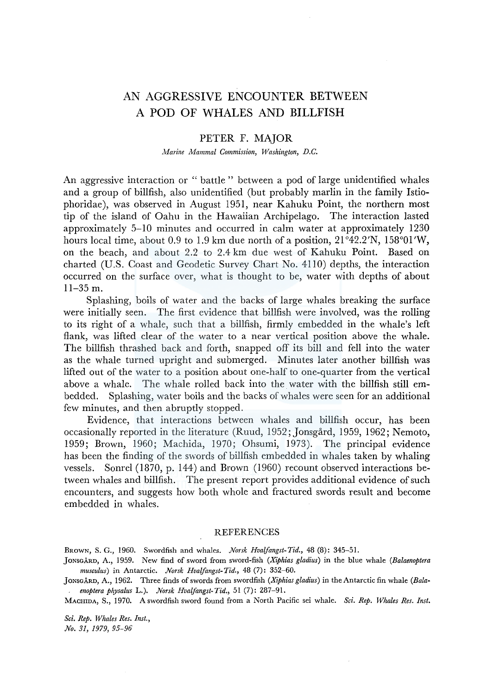## AN AGGRESSIVE ENCOUNTER BETWEEN A POD OF WHALES AND BILLFISH

## PETER F. MAJOR

*Marine Mammal Commission, Washington, D.C.* 

An aggressive interaction or " battle " between a pod of large unidentified whales and a group of billfish, also unidentified (but probably marlin in the family lstiophoridae ), was observed in August 1951, near Kahuku Point, the northern most tip of the island of Oahu in the Hawaiian Archipelago. The interaction lasted approximately 5-10 minutes and occurred in calm water at approximately 1230 hours local time, about 0.9 to 1.9 km due north of a position,  $21^{\circ}42.2'N$ ,  $158^{\circ}01'W$ , on the beach, and about 2.2 to 2.4 km due west of Kahuku Point. Based on charted (U.S. Coast and Geodetic Survey Chart No. 4110) depths, the interaction occurred on the surface over, what is thought to be, water with depths of about 11-35 m.

Splashing, boils of water and the backs of large whales breaking the surface were initially seen. The first evidence that billfish were involved, was the rolling to its right of a whale, such that a billfish, firmly embedded in the whale's left flank, was lifted clear of the water to a near vertical position above the whale. The billfish thrashed back and forth, snapped off its bill and fell into the water as the whale turned upright and submerged. Minutes later another billfish was lifted out of the water to a position about one-half to one-quarter from the vertical above a whale. The whale rolled back into the water with the billfish still embedded. Splashing, water boils and the backs of whales were seen for an additional few minutes, and then abruptly stopped.

Evidence, that interactions between whales and billfish occur, has been occasionally reported in the literature (Ruud, 1952; Jonsgård, 1959, 1962; Nemoto, 1959; Brown, 1960; Machida, 1970; Ohsumi, 1973). The principal evidence has been the finding of the swords of billfish embedded in whales taken by whaling vessels. Sonrel (1870, p. 144) and Brown (1960) recount observed interactions between whales and billfish. The present report provides additional evidence of such encounters, and suggests how both whole and fractured swords result and become embedded in whales.

## REFERENCES

BROWN, S. G., 1960. Swordfish and whales. *Norsk Hvaifangst-Tid.,* 48 (8): 345-51.

- ]ONSGARD, A., 1959. New find of sword from sword-fish *(Xiphias gladius)* in the blue whale *(Balaenoptera musculus)* in Antarctic. *Norsk Hvaifangst-Tid.,* 48 (7): 352-60.
- ]ONSGARD, A., 1962. Three finds of swords from swordfish *(Xiphias gladius)* in the Antarctic fin whale *(Balaenoptera physalus* L.). *Norsk Hvalfangst-Tid.,* 51 (7): 287-91.

MACHIDA, S., 1970. A swordfish sword found from a North Pacific sei whale. *Sci. Rep. Whales Res. Inst.* 

*Sci. Rep. Whales Res. Inst., No. 31, 1979, 95-96*